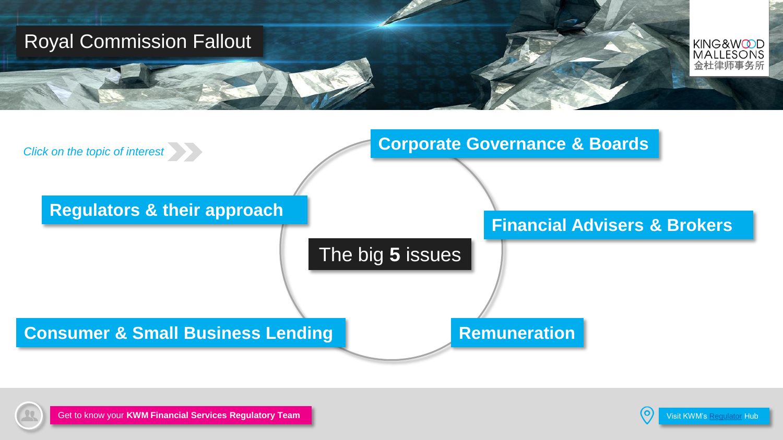<span id="page-0-0"></span>





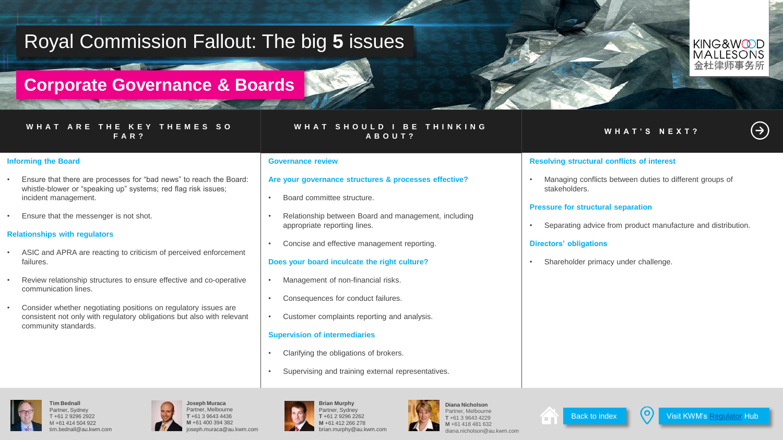## <span id="page-1-0"></span>**Corporate Governance & Boards**

#### **W H A T A R E T H E K E Y T H E M E S S O F A R ?**

#### **W H A T S H O U L D I B E T H I N K I N G A B O U T ? W H A T ' S N E X T ?**

KING&WODD **MALLESONS** 金杜律师事

 $(\Rightarrow)$ 

### **Informing the Board**

- Ensure that there are processes for "bad news" to reach the Board: whistle-blower or "speaking up" systems; red flag risk issues; incident management.
- Ensure that the messenger is not shot.

#### **Relationships with regulators**

- ASIC and APRA are reacting to criticism of perceived enforcement failures.
- Review relationship structures to ensure effective and co-operative communication lines.
- Consider whether negotiating positions on regulatory issues are consistent not only with regulatory obligations but also with relevant community standards.

#### **Governance review**

#### **Are your governance structures & processes effective?**

- Board committee structure.
- Relationship between Board and management, including appropriate reporting lines.
- Concise and effective management reporting.

#### **Does your board inculcate the right culture?**

- Management of non-financial risks.
- Consequences for conduct failures.
- Customer complaints reporting and analysis.

#### **Supervision of intermediaries**

- Clarifying the obligations of brokers.
- Supervising and training external representatives.



diana.nicholson@au.kwm.com



### **Resolving structural conflicts of interest**

• Managing conflicts between duties to different groups of stakeholders.

#### **Pressure for structural separation**

• Separating advice from product manufacture and distribution.

#### **Directors' obligations**

Shareholder primacy under challenge.



**Tim Bednall** Partner, Sydney T +61 2 9296 2922 M +61 414 504 922 tim.bednall@au.kwm.com









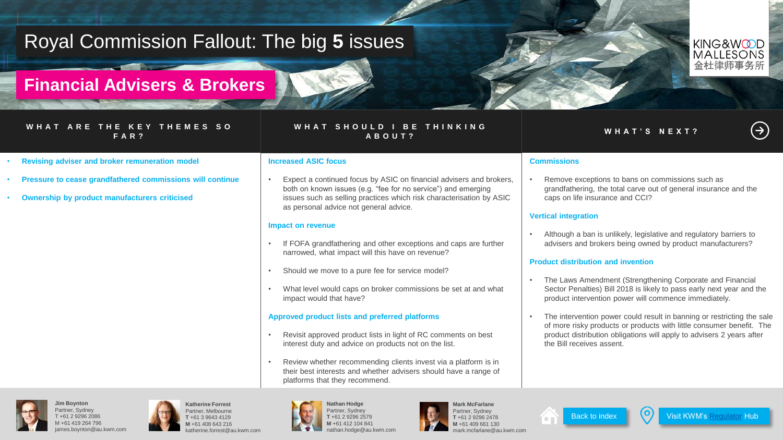## <span id="page-2-0"></span>**Financial Advisers & Brokers**

#### **W H A T A R E T H E K E Y T H E M E S S O F A R ?**

#### **W H A T S H O U L D I B E T H I N K I N G A B O U T ? W H A T ' S N E X T ?**

- **Revising adviser and broker remuneration model**
- **Pressure to cease grandfathered commissions will continue**
- **Ownership by product manufacturers criticised**

#### **Increased ASIC focus**

Expect a continued focus by ASIC on financial advisers and brokers. both on known issues (e.g. "fee for no service") and emerging issues such as selling practices which risk characterisation by ASIC as personal advice not general advice.

#### **Impact on revenue**

- If FOFA grandfathering and other exceptions and caps are further narrowed, what impact will this have on revenue?
- Should we move to a pure fee for service model?
- What level would caps on broker commissions be set at and what impact would that have?

#### **Approved product lists and preferred platforms**

- Revisit approved product lists in light of RC comments on best interest duty and advice on products not on the list.
- Review whether recommending clients invest via a platform is in their best interests and whether advisers should have a range of platforms that they recommend.









**Commissions**

**Vertical integration**





Visit KWM's [Regulator](https://www.kwm.com/en/au/regulator) Hub

• Remove exceptions to bans on commissions such as grandfathering, the total carve out of general insurance and the

• Although a ban is unlikely, legislative and regulatory barriers to advisers and brokers being owned by product manufacturers?

• The Laws Amendment (Strengthening Corporate and Financial Sector Penalties) Bill 2018 is likely to pass early next year and the product intervention power will commence immediately.

The intervention power could result in banning or restricting the sale of more risky products or products with little consumer benefit. The product distribution obligations will apply to advisers 2 years after

caps on life insurance and CCI?

**Product distribution and invention**

the Bill receives assent.

## $(\Rightarrow)$

KING&WODD **MALLESONS** 会杜律师事务所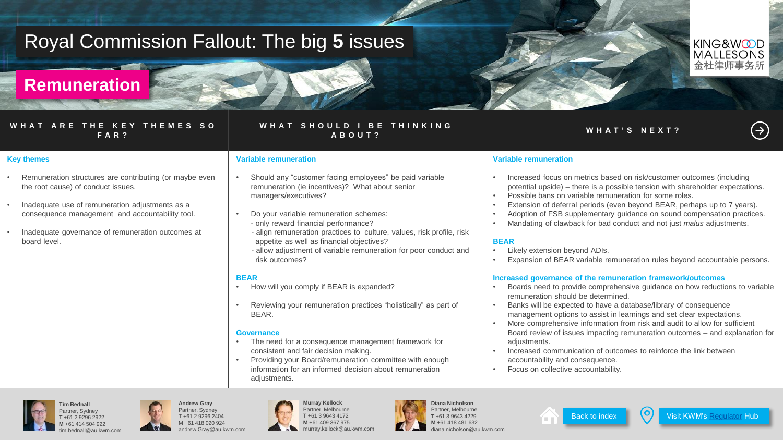## <span id="page-3-0"></span>**Remuneration**

#### **W H A T A R E T H E K E Y T H E M E S S O F A R ?**

### **W H A T S H O U L D I B E T H I N K I N G A B O U T ? W H A T ' S N E X T ?**

#### **Key themes**

- Remuneration structures are contributing (or maybe even the root cause) of conduct issues.
- Inadequate use of remuneration adjustments as a consequence management and accountability tool.
- Inadequate governance of remuneration outcomes at board level.

#### **Variable remuneration**

- Should any "customer facing employees" be paid variable remuneration (ie incentives)? What about senior managers/executives?
- Do your variable remuneration schemes: - only reward financial performance?
- align remuneration practices to culture, values, risk profile, risk appetite as well as financial objectives?
- allow adjustment of variable remuneration for poor conduct and risk outcomes?

#### **BEAR**

- How will you comply if BEAR is expanded?
- Reviewing your remuneration practices "holistically" as part of BEAR.

#### **Governance**

- The need for a consequence management framework for consistent and fair decision making.
- Providing your Board/remuneration committee with enough information for an informed decision about remuneration adiustments.

#### **Variable remuneration**

- Increased focus on metrics based on risk/customer outcomes (including potential upside) – there is a possible tension with shareholder expectations.
- Possible bans on variable remuneration for some roles.
- Extension of deferral periods (even beyond BEAR, perhaps up to 7 years).
- Adoption of FSB supplementary guidance on sound compensation practices.
- Mandating of clawback for bad conduct and not just *malus* adjustments.

### **BEAR**

- Likely extension beyond ADIs.
- Expansion of BEAR variable remuneration rules beyond accountable persons.

#### **Increased governance of the remuneration framework/outcomes**

- Boards need to provide comprehensive guidance on how reductions to variable remuneration should be determined.
- Banks will be expected to have a database/library of consequence management options to assist in learnings and set clear expectations.
- More comprehensive information from risk and audit to allow for sufficient Board review of issues impacting remuneration outcomes – and explanation for adiustments.
- Increased communication of outcomes to reinforce the link between accountability and consequence.
- Focus on collective accountability.



artner, Sydner **T** +61 2 9296 2922 **M** +61 414 504 922 tim.bednall@au.kwm.com



**Murray Kellock** Partner, Melbourne **T** +61 3 9643 4172 **M** +61 409 367 975 murray.kellock@au.kwm.com



**King & Wood Malles / Williams // Williams // Williams // Williams // Williams // Williams // Williams // Williams // Williams // Williams // Williams // Williams // Williams // Williams // Williams // Williams // Williams** Partner, Melbourne **T** +61 3 9643 4229 **M** +61 418 481 632 diana.nicholson@au.kwm.com





 $(\Rightarrow)$ 

KING&WODD **MALLESONS** 会杜律师事务所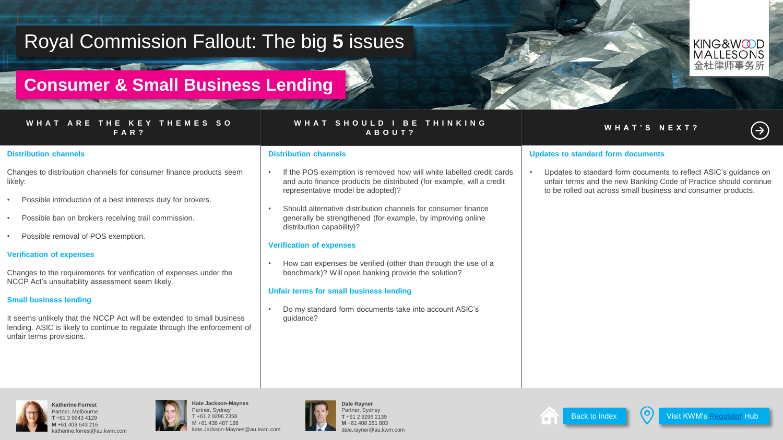## <span id="page-4-0"></span>**Consumer & Small Business Lending**

#### **W H A T A R E T H E K E Y T H E M E S S O F A R ?**

## **W H A T S H O U L D I B E T H I N K I N G A B O U T ? W H A T ' S N E X T ?**

# $(\Rightarrow)$

KING&WODD **MALLESONS** 会杜律师事务所

#### **Distribution channels**

Changes to distribution channels for consumer finance products seem likely:

- Possible introduction of a best interests duty for brokers.
- Possible ban on brokers receiving trail commission.
- Possible removal of POS exemption.

### **Verification of expenses**

Changes to the requirements for verification of expenses under the NCCP Act's unsuitability assessment seem likely.

### **Small business lending**

It seems unlikely that the NCCP Act will be extended to small business lending. ASIC is likely to continue to regulate through the enforcement of unfair terms provisions.

#### **Distribution channels**

- If the POS exemption is removed how will white labelled credit cards and auto finance products be distributed (for example, will a credit representative model be adopted)?
- Should alternative distribution channels for consumer finance generally be strengthened (for example, by improving online distribution capability)?

#### **Verification of expenses**

• How can expenses be verified (other than through the use of a benchmark)? Will open banking provide the solution?

#### **Unfair terms for small business lending**

• Do my standard form documents take into account ASIC's quidance?

### **Updates to standard form documents**

• Updates to standard form documents to reflect ASIC's guidance on unfair terms and the new Banking Code of Practice should continue to be rolled out across small business and consumer products.





**Kate Jackson-Maynes** Partner, Sydney T +61 2 9296 2358 M +61 438 487 126 kate.Jackson-Maynes@au.kwm.com





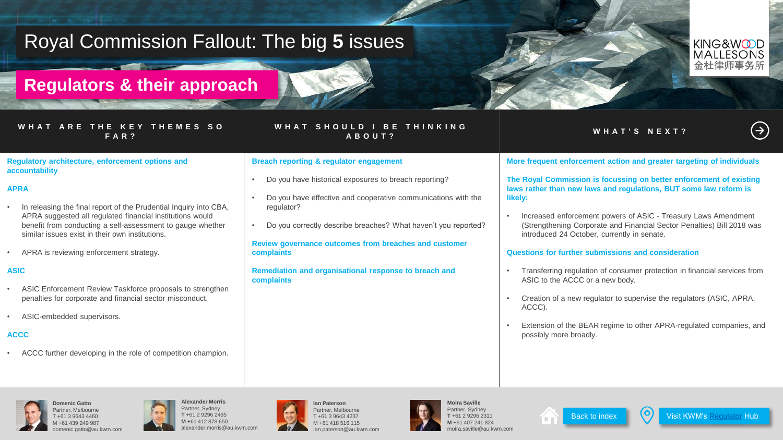## <span id="page-5-0"></span>**Regulators & their approach**

#### **W H A T A R E T H E K E Y T H E M E S S O F A R ?**

In releasing the final report of the Prudential Inquiry into CBA. APRA suggested all regulated financial institutions would benefit from conducting a self-assessment to gauge whether

• ASIC Enforcement Review Taskforce proposals to strengthen penalties for corporate and financial sector misconduct.

• ACCC further developing in the role of competition champion.

**Regulatory architecture, enforcement options and** 

similar issues exist in their own institutions. APRA is reviewing enforcement strategy.

### **W H A T S H O U L D I B E T H I N K I N G A B O U T ? W H A T ' S N E X T ?**

#### **Breach reporting & regulator engagement**

- Do you have historical exposures to breach reporting?
- Do you have effective and cooperative communications with the regulator?
- Do you correctly describe breaches? What haven't you reported?

#### **Review governance outcomes from breaches and customer complaints**

**Remediation and organisational response to breach and complaints**

### **More frequent enforcement action and greater targeting of individuals**

**The Royal Commission is focussing on better enforcement of existing laws rather than new laws and regulations, BUT some law reform is likely:** 

• Increased enforcement powers of ASIC - Treasury Laws Amendment (Strengthening Corporate and Financial Sector Penalties) Bill 2018 was introduced 24 October, currently in senate.

#### **Questions for further submissions and consideration**

- Transferring regulation of consumer protection in financial services from ASIC to the ACCC or a new body.
- Creation of a new regulator to supervise the regulators (ASIC, APRA, ACCC).
- Extension of the BEAR regime to other APRA-regulated companies, and possibly more broadly.



**accountability**

**APRA**

**ASIC**

**ACCC**

**Domenic Gatto** Partner, Melbourne T +61 3 9643 4460 M +61 439 249 987 domenic.gatto@au.kwm.com

• ASIC-embedded supervisors.







**King & Wood Mallesons // Wood Mallesons // With Media 24 Moira Saville** Partner, Sydney **LG1 2 9296 231 M** +61 407 241 824  $\ln \omega$ monta





Visit KWM's [Regulator](https://www.kwm.com/en/au/regulator) Hub

KING&WODD **MALLESONS** 金杜律师事务所

 $(\Rightarrow)$